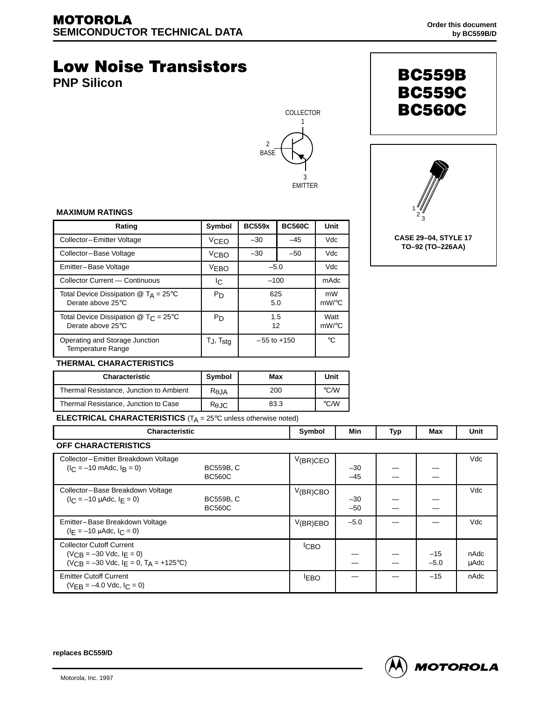# **Low Noise Transistors**

**PNP Silicon**







#### **MAXIMUM RATINGS**

| Rating                                                                  | Symbol                   | <b>BC559x</b>   | <b>BC560C</b> | Unit             |
|-------------------------------------------------------------------------|--------------------------|-----------------|---------------|------------------|
| Collector-Emitter Voltage                                               | <b>VCEO</b>              | $-30$<br>$-45$  |               | Vdc              |
| Collector-Base Voltage                                                  | V <sub>CBO</sub>         | $-30$<br>$-50$  |               | Vdc              |
| Emitter-Base Voltage                                                    | <b>VEBO</b>              | $-5.0$          |               | Vdc              |
| Collector Current - Continuous                                          | Iс                       | $-100$          |               | mAdc             |
| Total Device Dissipation $@$ T <sub>A</sub> = 25°C<br>Derate above 25°C | P <sub>D</sub>           | 625<br>5.0      |               | mW<br>mW/°C      |
| Total Device Dissipation $@$ T <sub>C</sub> = 25°C<br>Derate above 25°C | P <sub>D</sub>           | 1.5<br>12       |               | Watt<br>$mW$ /°C |
| Operating and Storage Junction<br><b>Temperature Range</b>              | $T_J$ , $T_{\text{stg}}$ | $-55$ to $+150$ |               | °C               |

### **THERMAL CHARACTERISTICS**

| <b>Characteristic</b>                   | Symbol          | Max  | Unit               |
|-----------------------------------------|-----------------|------|--------------------|
| Thermal Resistance, Junction to Ambient | $R_{\theta JA}$ | 200  | $\rm ^{\circ}$ C/W |
| Thermal Resistance, Junction to Case    | $R_{\theta$ JC  | 83.3 | $\degree$ C/W      |

**ELECTRICAL CHARACTERISTICS** (T<sub>A</sub> = 25°C unless otherwise noted)

| <b>Characteristic</b>                                                                                                    |                                   | Symbol           | Min            | Typ | Max             | Unit         |
|--------------------------------------------------------------------------------------------------------------------------|-----------------------------------|------------------|----------------|-----|-----------------|--------------|
| OFF CHARACTERISTICS                                                                                                      |                                   |                  |                |     |                 |              |
| Collector-Emitter Breakdown Voltage<br>$(I_C = -10 \text{ m}$ Adc, $I_R = 0$ )                                           | <b>BC559B, C</b><br><b>BC560C</b> | $V(BR)$ CEO      | $-30$<br>$-45$ |     |                 | Vdc          |
| Collector-Base Breakdown Voltage<br>$(I_C = -10 \mu A d c, I_F = 0)$                                                     | <b>BC559B, C</b><br><b>BC560C</b> | $V$ (BR)CBO      | $-30$<br>$-50$ |     |                 | Vdc          |
| Emitter-Base Breakdown Voltage<br>$(I_F = -10 \mu A d c, I_C = 0)$                                                       |                                   | V(BR)EBO         | $-5.0$         |     |                 | Vdc          |
| <b>Collector Cutoff Current</b><br>$(V_{CR} = -30$ Vdc, $I_F = 0$ )<br>$(V_{CR} = -30$ Vdc, $I_F = 0$ , $T_A = +125$ °C) |                                   | <sup>I</sup> CBO |                |     | $-15$<br>$-5.0$ | nAdc<br>μAdc |
| <b>Emitter Cutoff Current</b><br>$(V_{FR} = -4.0$ Vdc, $I_C = 0$ )                                                       |                                   | <b>EBO</b>       |                |     | $-15$           | nAdc         |

**replaces BC559/D**

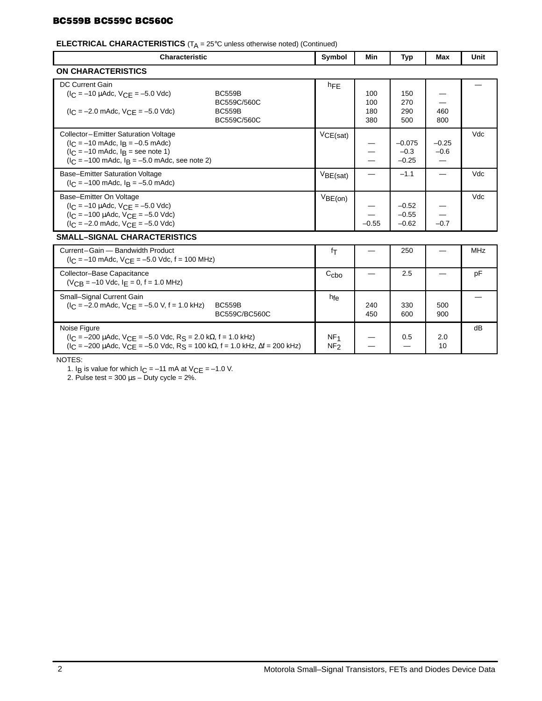## **BC559B BC559C BC560C**

# **ELECTRICAL CHARACTERISTICS** (T<sub>A</sub> = 25°C unless otherwise noted) (Continued)

| <b>Characteristic</b>                                                                                                                                                                                                                                 | Symbol                             | Min                      | Typ                           | <b>Max</b>        | Unit       |  |
|-------------------------------------------------------------------------------------------------------------------------------------------------------------------------------------------------------------------------------------------------------|------------------------------------|--------------------------|-------------------------------|-------------------|------------|--|
| <b>ON CHARACTERISTICS</b>                                                                                                                                                                                                                             |                                    |                          |                               |                   |            |  |
| DC Current Gain<br>$(I_C = -10 \mu A dC, V_{C} = -5.0 \text{ V} dC)$<br><b>BC559B</b><br>BC559C/560C<br>$(I_C = -2.0 \text{ m}$ Adc, $V_{C} = -5.0 \text{ V}$ dc)<br><b>BC559B</b><br>BC559C/560C                                                     | hFE                                | 100<br>100<br>180<br>380 | 150<br>270<br>290<br>500      | 460<br>800        |            |  |
| Collector-Emitter Saturation Voltage<br>$(I_C = -10 \text{ m}$ Adc, $I_B = -0.5 \text{ m}$ Adc)<br>$(l_C = -10 \text{ m}$ Adc, $l_B$ = see note 1)<br>$(I_C = -100 \text{ m}$ Adc, $I_B = -5.0 \text{ m}$ Adc, see note 2)                            | VCE(sat)                           |                          | $-0.075$<br>$-0.3$<br>$-0.25$ | $-0.25$<br>$-0.6$ | Vdc        |  |
| <b>Base-Emitter Saturation Voltage</b><br>$(l_C = -100 \text{ m}$ Adc, $l_B = -5.0 \text{ m}$ Adc)                                                                                                                                                    | VBE(sat)                           |                          | $-1.1$                        |                   | Vdc        |  |
| Base-Emitter On Voltage<br>$(I_C = -10 \mu A dC, V_{CF} = -5.0 \text{ V} dC)$<br>$I_C = -100 \mu A dc$ , $V_{C}F = -5.0 \text{ Vdc}$<br>$(I_C = -2.0$ mAdc, $V_{CF} = -5.0$ Vdc)                                                                      | VBE(on)                            | $-0.55$                  | $-0.52$<br>$-0.55$<br>$-0.62$ | $-0.7$            | Vdc        |  |
| <b>SMALL-SIGNAL CHARACTERISTICS</b>                                                                                                                                                                                                                   |                                    |                          |                               |                   |            |  |
| Current-Gain - Bandwidth Product<br>$I_C = -10$ mAdc, $V_{C}F = -5.0$ Vdc, f = 100 MHz)                                                                                                                                                               | fτ                                 |                          | 250                           |                   | <b>MHz</b> |  |
| Collector-Base Capacitance<br>$(VCB = -10$ Vdc, $IE = 0$ , $f = 1.0$ MHz)                                                                                                                                                                             | C <sub>cbo</sub>                   |                          | 2.5                           |                   | pF         |  |
| Small-Signal Current Gain<br>$I_C = -2.0$ mAdc, $V_{C}F = -5.0$ V, f = 1.0 kHz)<br><b>BC559B</b><br>BC559C/BC560C                                                                                                                                     | hfe                                | 240<br>450               | 330<br>600                    | 500<br>900        |            |  |
| Noise Figure<br>$(I_C = -200 \mu A dC, V_C = -5.0 \text{ V} dC, R_S = 2.0 \text{ k}\Omega, f = 1.0 \text{ kHz})$<br>$(1_C = -200 \mu A d c, V_{CE} = -5.0 \text{ V} d c, R_S = 100 \text{ k}\Omega, f = 1.0 \text{ kHz}, \Delta f = 200 \text{ kHz})$ | NF <sub>1</sub><br>NF <sub>2</sub> |                          | 0.5                           | 2.0<br>10         | dB         |  |

NOTES:

1. I<sub>B</sub> is value for which  $I_C = -11$  mA at  $V_{CE} = -1.0$  V.

2. Pulse test =  $300 \mu s -$  Duty cycle =  $2\%$ .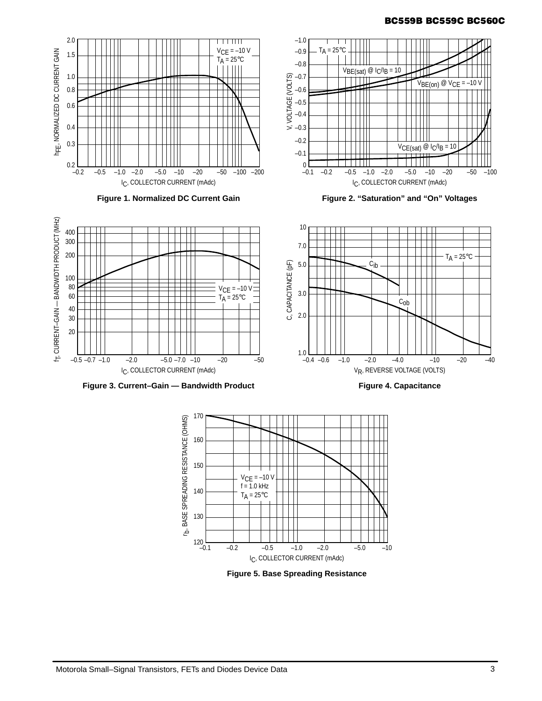# **BC559B BC559C BC560C**